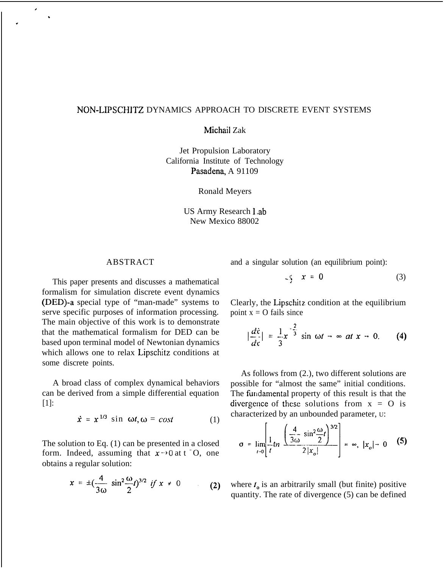## NON-LIPSCHITZ DYNAMICS APPROACH TO DISCRETE EVENT SYSTEMS

Michail Zak

Jet Propulsion Laboratory California Institute of Technology Pasadena, A 91109

Ronald Meyers

US Army Research 1.ab New Mexico 88002

## ABSTRACT

,

.

.

This paper presents and discusses a mathematical formalism for simulation discrete event dynamics (DED)-a special type of "man-made" systems to serve specific purposes of information processing. The main objective of this work is to demonstrate that the mathematical formalism for DED can be based upon terminal model of Newtonian dynamics which allows one to relax Lipschitz conditions at some discrete points.

A broad class of complex dynamical behaviors can be derived from a simple differential equation [1]:

$$
\dot{x} = x^{1/3} \sin \omega t, \omega = \cos t \tag{1}
$$

The solution to Eq. (1) can be presented in a closed form. Indeed, assuming that  $x \rightarrow 0$  at  $t = 0$ , one obtains a regular solution:

$$
x = \pm (\frac{4}{3\omega} \sin^2 \frac{\omega}{2} t)^{3/2} \text{ if } x \neq 0 \tag{2}
$$

and a singular solution (an equilibrium point):

$$
x = 0 \tag{3}
$$

Clearly, the Lipschitz. condition at the equilibrium point  $x = O$  fails since

$$
\left|\frac{d\dot{x}}{d\tau}\right| = \frac{1}{3}x^{-\frac{2}{3}}\sin\omega t \rightarrow \infty \ at\ x \rightarrow 0. \qquad (4)
$$

As follows from (2.), two different solutions are possible for "almost the same" initial conditions. The fundamental property of this result is that the divergence of these solutions from  $x = 0$  is characterized by an unbounded parameter, U:

$$
\sigma = \lim_{t \to 0} \left[ \frac{1}{t} \ln \left( \frac{4}{3\omega} \frac{\sin^2 \frac{\omega}{2} t}{2|x_o|} \right)^{3/2} \right] = \infty, |x_o| \to 0 \quad (5)
$$

where  $t_0$  is an arbitrarily small (but finite) positive quantity. The rate of divergence (5) can be defined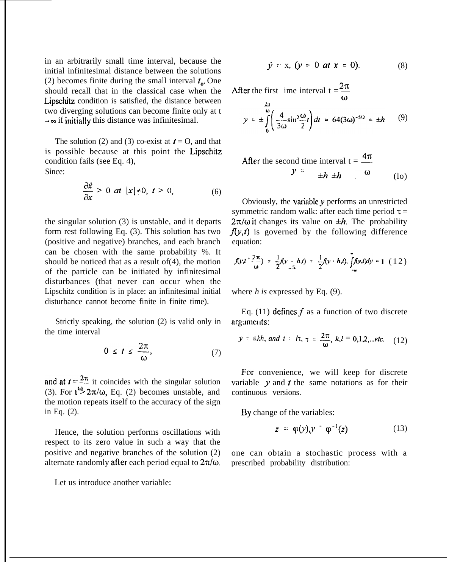in an arbitrarily small time interval, because the initial infinitesimal distance between the solutions (2) becomes finite during the small interval  $t_{0}$ . One should recall that in the classical case when the Lipschitz condition is satisfied, the distance between two diverging solutions can become finite only at t  $\rightarrow \infty$  if initially this distance was infinitesimal.

The solution (2) and (3) co-exist at  $t = 0$ , and that is possible because at this point the Lipschitz condition fails (see Eq. 4), Since:

$$
\mathbf{m.c.}
$$

$$
\frac{\partial \dot{x}}{\partial x} > 0 \ \text{at} \ |x| \neq 0, \ t > 0,
$$
 (6)

the singular solution (3) is unstable, and it departs form rest following Eq. (3). This solution has two (positive and negative) branches, and each branch can be chosen with the same probability %. It should be noticed that as a result of(4), the motion of the particle can be initiated by infinitesimal disturbances (that never can occur when the Lipschitz condition is in place: an infinitesimal initial disturbance cannot become finite in finite time).

Strictly speaking, the solution (2) is valid only in the time interval

$$
0 \leq t \leq \frac{2\pi}{\omega}, \tag{7}
$$

and at  $t=\frac{2\pi}{\pi}$  it coincides with the singular solution (3). For  $t^{\prime\prime}$  2 $\pi/\omega$ , Eq. (2) becomes unstable, and the motion repeats itself to the accuracy of the sign in Eq. (2).

Hence, the solution performs oscillations with respect to its zero value in such a way that the positive and negative branches of the solution (2) alternate randomly after each period equal to  $2\pi/\omega$ .

Let us introduce another variable:

$$
\dot{y} = x, \; (y = 0 \; at \; x = 0). \tag{8}
$$

After the first ime interval  $t = \frac{2\pi}{\pi}$  $\omega$ 

$$
y = \pm \int_{0}^{\frac{2n}{\omega}} \left( \frac{4}{3\omega} \sin^2 \frac{\omega}{2} t \right) dt = 64(3\omega)^{-5/2} = \pm h \qquad (9)
$$

After the second time interval 
$$
t = \frac{4\pi}{\omega}
$$
  
 $y = \pm h \pm h$  (lo)

Obviously, the variable  $y$  performs an unrestricted symmetric random walk: after each time period  $\tau$  =  $2\pi/\omega$  it changes its value on  $\pm h$ . The probability  $f(y,t)$  is governed by the following difference equation:

$$
f(y,t+\frac{2\pi}{\omega}) = \frac{1}{2}f(y-h,t) + \frac{1}{2}f(y+h,t), \int_{-\infty}^{\infty} f(y,t)dy = 1 (12)
$$

where *h is* expressed by Eq. (9).

Eq. (11) defines  $f$  as a function of two discrete arguments:

$$
y = \pm kh
$$
, and  $t = l\tau$ ,  $\tau = \frac{2\pi}{\omega}$ ,  $k,l = 0,1,2,...$ etc. (12)

For convenience, we will keep for discrete variable  $y$  and  $t$  the same notations as for their continuous versions.

By change of the variables:

$$
z = \varphi(y)_{x} y = \varphi^{-1}(z) \tag{13}
$$

one can obtain a stochastic process with a prescribed probability distribution: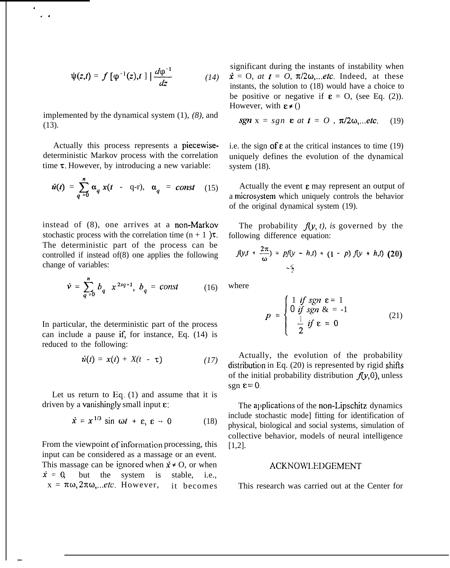$$
\psi(z,t) = f\left[\varphi^{-1}(z),t\right] \Big| \frac{d\varphi^{-1}}{dz} \qquad (14)
$$

implemented by the dynamical system (1), *(8),* and (13).

. ,\*

—

Actually this process represents a piecewisedeterministic Markov process with the correlation time  $\tau$ . However, by introducing a new variable:

$$
\dot{u}(t) = \sum_{q=0}^{n} \alpha_q x(t - q-t), \quad \alpha_q = const \quad (15)
$$

instead of (8), one arrives at a non-Markov stochastic process with the correlation time  $(n + 1)$  $\tau$ . The deterministic part of the process can be controlled if instead of(8) one applies the following change of variables:

$$
\dot{v} = \sum_{q=0}^{n} b_q x^{2sq+1}, \ b_q = const \qquad (16)
$$

In particular, the deterministic part of the process can include a pause if, for instance, Eq.  $(14)$  is reduced to the following:

$$
\dot{u}(t) = x(t) + X(t - \tau) \qquad (17)
$$

Let us return to Eq.  $(1)$  and assume that it is driven by a vanishingly small input  $\varepsilon$ :

$$
\dot{x} = x^{1/3} \sin \omega t + \varepsilon, \ \varepsilon \to 0 \tag{18}
$$

From the viewpoint of information processing, this input can be considered as a massage or an event. This massage can be ignored when  $x \neq 0$ , or when  $\dot{x} = 0$ , but the system is stable, i.e.,  $x = \pi \omega$ ,  $2\pi \omega$ ,  $\ldots$ *etc.* However, it becomes significant during the instants of instability when  $\dot{x} = 0$ , *at*  $t = 0$ ,  $\pi/2\omega$ , *etc.* Indeed, at these instants, the solution to (18) would have a choice to be positive or negative if  $\epsilon = 0$ , (see Eq. (2)). However, with  $\epsilon \neq 0$ 

$$
sgn x = sgn \epsilon at t = 0, \pi/2\omega,...etc.
$$
 (19)

i.e. the sign of  $\varepsilon$  at the critical instances to time (19) uniquely defines the evolution of the dynamical system (18).

Actually the event  $\varepsilon$  may represent an output of a microsystem which uniquely controls the behavior of the original dynamical system (19).

The probability  $f(y, t)$ , is governed by the following difference equation:

$$
f(y,t + \frac{2\pi}{\omega}) = pf(y - h,t) + (1 - p) f(y + h,t)
$$
 (20)

where

$$
p = \begin{cases} 1 & \text{if } sgn \ \varepsilon = 1 \\ 0 & \text{if } sgn \ \varepsilon = -1 \\ \frac{1}{2} & \text{if } \varepsilon = 0 \end{cases}
$$
 (21)

Actually, the evolution of the probability distribution in Eq. (20) is represented by rigid shifts of the initial probability distribution  $f(\gamma,0)$ , unless sgn  $\varepsilon = 0$ .

The applications of the non-Lipschitz dynamics include stochastic mode] fitting for identification of physical, biological and social systems, simulation of collective behavior, models of neural intelligence [1,2].

## ACKNOW1,EDGEMENT

This research was carried out at the Center for